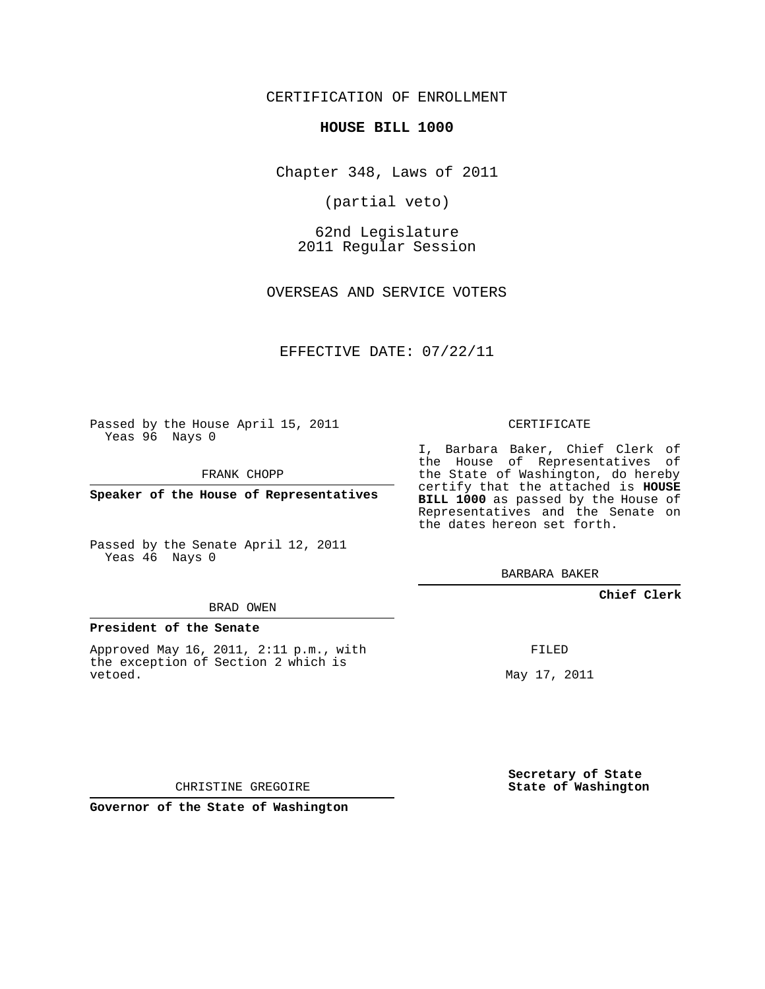CERTIFICATION OF ENROLLMENT

### **HOUSE BILL 1000**

Chapter 348, Laws of 2011

(partial veto)

62nd Legislature 2011 Regular Session

OVERSEAS AND SERVICE VOTERS

EFFECTIVE DATE: 07/22/11

Passed by the House April 15, 2011 Yeas 96 Nays 0

FRANK CHOPP

**Speaker of the House of Representatives**

Passed by the Senate April 12, 2011 Yeas 46 Nays 0

#### BRAD OWEN

### **President of the Senate**

Approved May 16, 2011, 2:11 p.m., with the exception of Section 2 which is vetoed.

CERTIFICATE

I, Barbara Baker, Chief Clerk of the House of Representatives of the State of Washington, do hereby certify that the attached is **HOUSE BILL 1000** as passed by the House of Representatives and the Senate on the dates hereon set forth.

BARBARA BAKER

**Chief Clerk**

FILED

May 17, 2011

**Secretary of State State of Washington**

CHRISTINE GREGOIRE

**Governor of the State of Washington**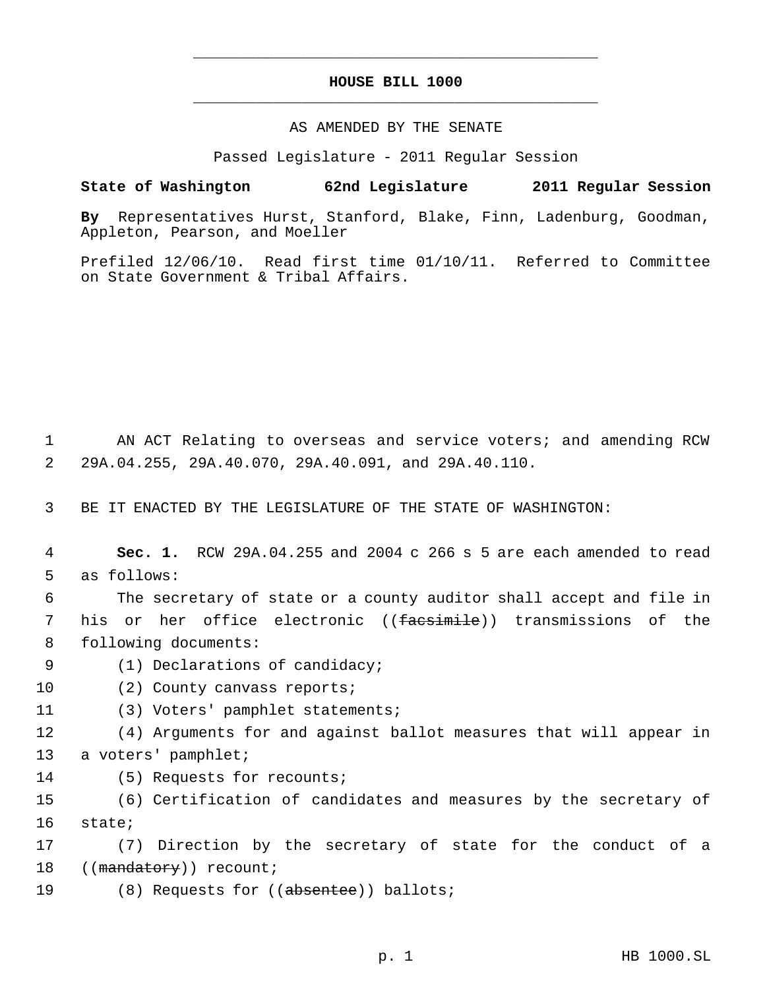# **HOUSE BILL 1000** \_\_\_\_\_\_\_\_\_\_\_\_\_\_\_\_\_\_\_\_\_\_\_\_\_\_\_\_\_\_\_\_\_\_\_\_\_\_\_\_\_\_\_\_\_

\_\_\_\_\_\_\_\_\_\_\_\_\_\_\_\_\_\_\_\_\_\_\_\_\_\_\_\_\_\_\_\_\_\_\_\_\_\_\_\_\_\_\_\_\_

### AS AMENDED BY THE SENATE

Passed Legislature - 2011 Regular Session

## **State of Washington 62nd Legislature 2011 Regular Session**

**By** Representatives Hurst, Stanford, Blake, Finn, Ladenburg, Goodman, Appleton, Pearson, and Moeller

Prefiled 12/06/10. Read first time 01/10/11. Referred to Committee on State Government & Tribal Affairs.

 1 AN ACT Relating to overseas and service voters; and amending RCW 2 29A.04.255, 29A.40.070, 29A.40.091, and 29A.40.110.

3 BE IT ENACTED BY THE LEGISLATURE OF THE STATE OF WASHINGTON:

 4 **Sec. 1.** RCW 29A.04.255 and 2004 c 266 s 5 are each amended to read 5 as follows:

 6 The secretary of state or a county auditor shall accept and file in 7 his or her office electronic ((facsimile)) transmissions of the 8 following documents:

9 (1) Declarations of candidacy;

10 (2) County canvass reports;

11 (3) Voters' pamphlet statements;

12 (4) Arguments for and against ballot measures that will appear in 13 a voters' pamphlet;

14 (5) Requests for recounts;

15 (6) Certification of candidates and measures by the secretary of 16 state;

17 (7) Direction by the secretary of state for the conduct of a 18 ((mandatory)) recount;

19 (8) Requests for ((absentee)) ballots;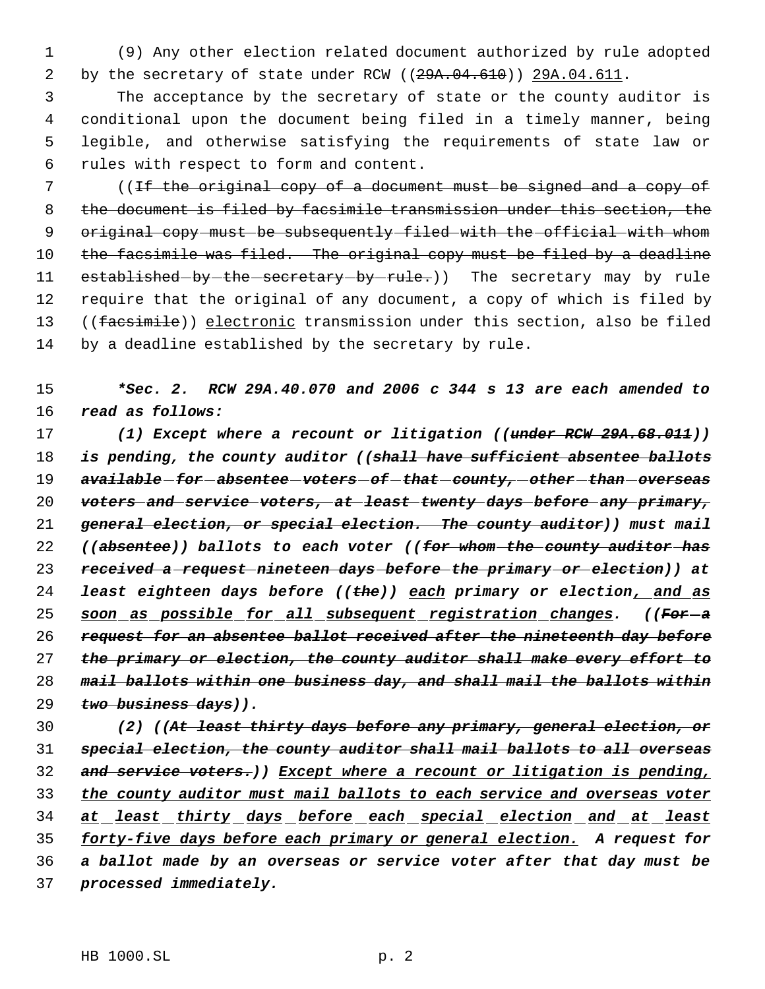(9) Any other election related document authorized by rule adopted 2 by the secretary of state under RCW ((29A.04.610)) 29A.04.611.

 The acceptance by the secretary of state or the county auditor is conditional upon the document being filed in a timely manner, being legible, and otherwise satisfying the requirements of state law or rules with respect to form and content.

7 (If the original copy of a document must be signed and a copy of the document is filed by facsimile transmission under this section, the 9 original copy-must be subsequently filed with the official with whom 10 the facsimile was filed. The original copy must be filed by a deadline 11 established-by-the-secretary-by-rule.)) The secretary may by rule require that the original of any document, a copy of which is filed by 13 ((facsimile)) electronic transmission under this section, also be filed by a deadline established by the secretary by rule.

 *\*Sec. 2. RCW 29A.40.070 and 2006 c 344 s 13 are each amended to read as follows:*

 *(1) Except where a recount or litigation ((under RCW 29A.68.011)) is pending, the county auditor ((shall have sufficient absentee ballots available for absentee voters of that county, other than overseas voters and service voters, at least twenty days before any primary, general election, or special election. The county auditor)) must mail ((absentee)) ballots to each voter ((for whom the county auditor has received a request nineteen days before the primary or election)) at least eighteen days before ((the)) each primary or election, and as soon as possible for all subsequent registration changes. ((For a request for an absentee ballot received after the nineteenth day before the primary or election, the county auditor shall make every effort to mail ballots within one business day, and shall mail the ballots within two business days)).*

 *(2) ((At least thirty days before any primary, general election, or special election, the county auditor shall mail ballots to all overseas and service voters.)) Except where a recount or litigation is pending, the county auditor must mail ballots to each service and overseas voter at least thirty days before each special election and at least forty-five days before each primary or general election. A request for a ballot made by an overseas or service voter after that day must be processed immediately.*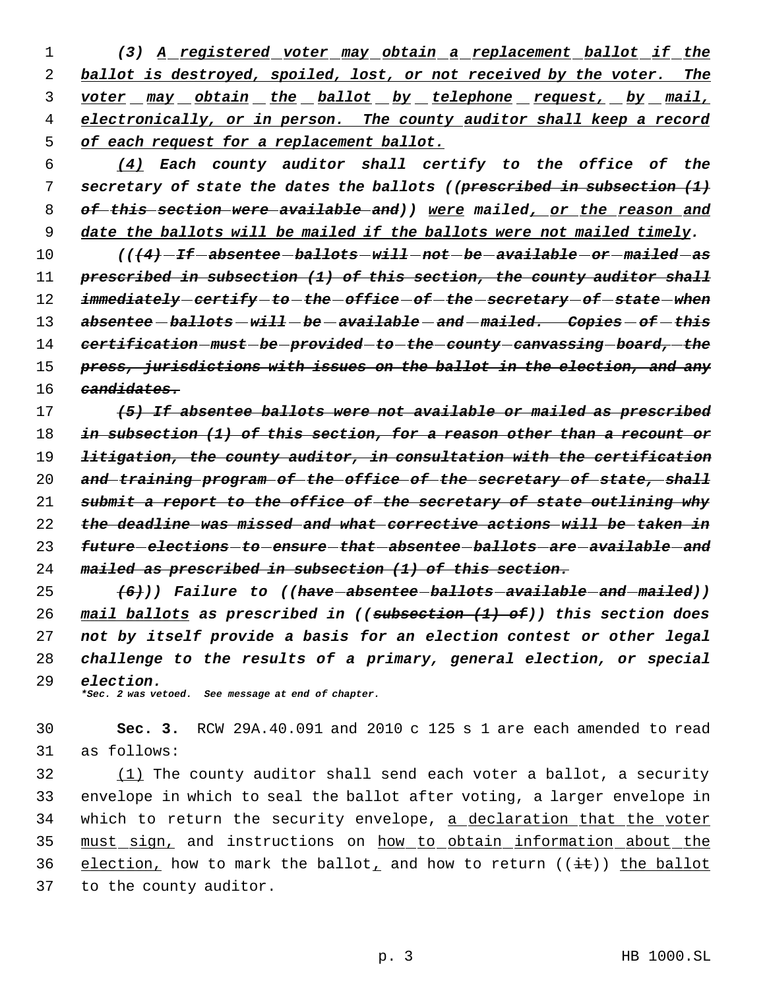*(3) A registered voter may obtain a replacement ballot if the ballot is destroyed, spoiled, lost, or not received by the voter. The voter may obtain the ballot by telephone request, by mail, electronically, or in person. The county auditor shall keep a record of each request for a replacement ballot.*

 *(4) Each county auditor shall certify to the office of the secretary of state the dates the ballots ((prescribed in subsection (1) of this section were available and)) were mailed, or the reason and date the ballots will be mailed if the ballots were not mailed timely.*

 *(((4) If absentee ballots will not be available or mailed as prescribed in subsection (1) of this section, the county auditor shall immediately certify to the office of the secretary of state when absentee ballots will be available and mailed. Copies of this certification must be provided to the county canvassing board, the press, jurisdictions with issues on the ballot in the election, and any candidates.*

 *(5) If absentee ballots were not available or mailed as prescribed in subsection (1) of this section, for a reason other than a recount or litigation, the county auditor, in consultation with the certification and training program of the office of the secretary of state, shall submit a report to the office of the secretary of state outlining why the deadline was missed and what corrective actions will be taken in future elections to ensure that absentee ballots are available and mailed as prescribed in subsection (1) of this section.*

 *(6))) Failure to ((have absentee ballots available and mailed)) mail ballots as prescribed in ((subsection (1) of)) this section does not by itself provide a basis for an election contest or other legal challenge to the results of a primary, general election, or special election.*

*\*Sec. 2 was vetoed. See message at end of chapter.*

 **Sec. 3.** RCW 29A.40.091 and 2010 c 125 s 1 are each amended to read as follows:

 (1) The county auditor shall send each voter a ballot, a security envelope in which to seal the ballot after voting, a larger envelope in which to return the security envelope, a declaration that the voter must sign, and instructions on how to obtain information about the 36 election, how to mark the ballot, and how to return  $((\pm \epsilon))$  the ballot to the county auditor.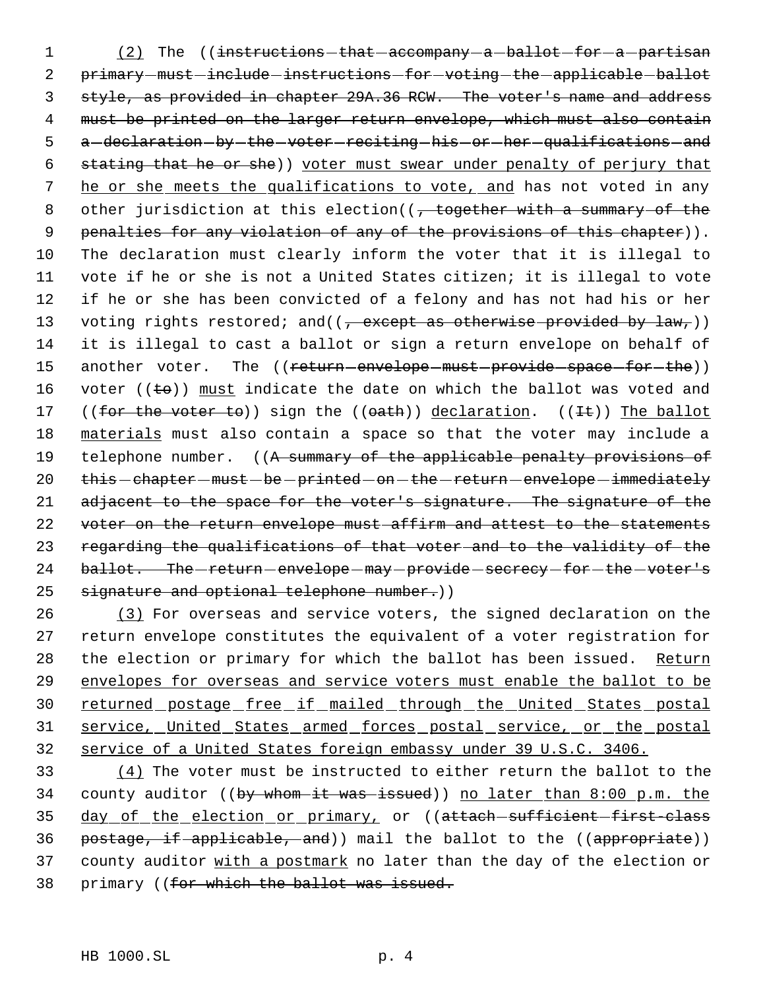1 (2) The ((instructions that accompany - a ballot for - a partisan 2 primary-must-include-instructions-for-voting-the-applicable-ballot 3 style, as provided in chapter 29A.36 RCW. The voter's name and address 4 must be printed on the larger return envelope, which must also contain 5 a-declaration-by-the-voter-reciting-his-or-her-qualifications-and 6 stating that he or she)) voter must swear under penalty of perjury that 7 he or she meets the qualifications to vote, and has not voted in any 8 other jurisdiction at this election((, together with a summary of the 9 penalties for any violation of any of the provisions of this chapter)). 10 The declaration must clearly inform the voter that it is illegal to 11 vote if he or she is not a United States citizen; it is illegal to vote 12 if he or she has been convicted of a felony and has not had his or her 13 voting rights restored; and( $(\frac{1}{2} + \frac{1}{2}$  votherwise provided by  $\frac{1}{2}$  aw,  $\rangle$ ) 14 it is illegal to cast a ballot or sign a return envelope on behalf of 15 another voter. The ((return-envelope-must-provide-space-for-the)) 16 voter ( $(\pm \theta)$ ) must indicate the date on which the ballot was voted and 17 ((for the voter to)) sign the ((oath)) declaration. ((It)) The ballot 18 materials must also contain a space so that the voter may include a 19 telephone number. ((A summary of the applicable penalty provisions of 20 this - chapter - must - be - printed - on - the - return - envelope - immediately 21 adjacent to the space for the voter's signature. The signature of the 22 voter on the return envelope must affirm and attest to the statements 23 regarding the qualifications of that voter and to the validity of the 24 ballot. The -return - envelope - may - provide - secrecy - for - the - voter's 25 signature and optional telephone number.))

26 (3) For overseas and service voters, the signed declaration on the 27 return envelope constitutes the equivalent of a voter registration for 28 the election or primary for which the ballot has been issued. Return 29 envelopes for overseas and service voters must enable the ballot to be 30 returned postage free if mailed through the United States postal 31 service, United States armed forces postal service, or the postal 32 service of a United States foreign embassy under 39 U.S.C. 3406.

33 (4) The voter must be instructed to either return the ballot to the 34 county auditor ((by whom it was issued)) no later than 8:00 p.m. the 35 day of the election or primary, or ((attach sufficient first-class 36 postage, if applicable, and)) mail the ballot to the ((appropriate)) 37 county auditor with a postmark no later than the day of the election or 38 primary ((for which the ballot was issued.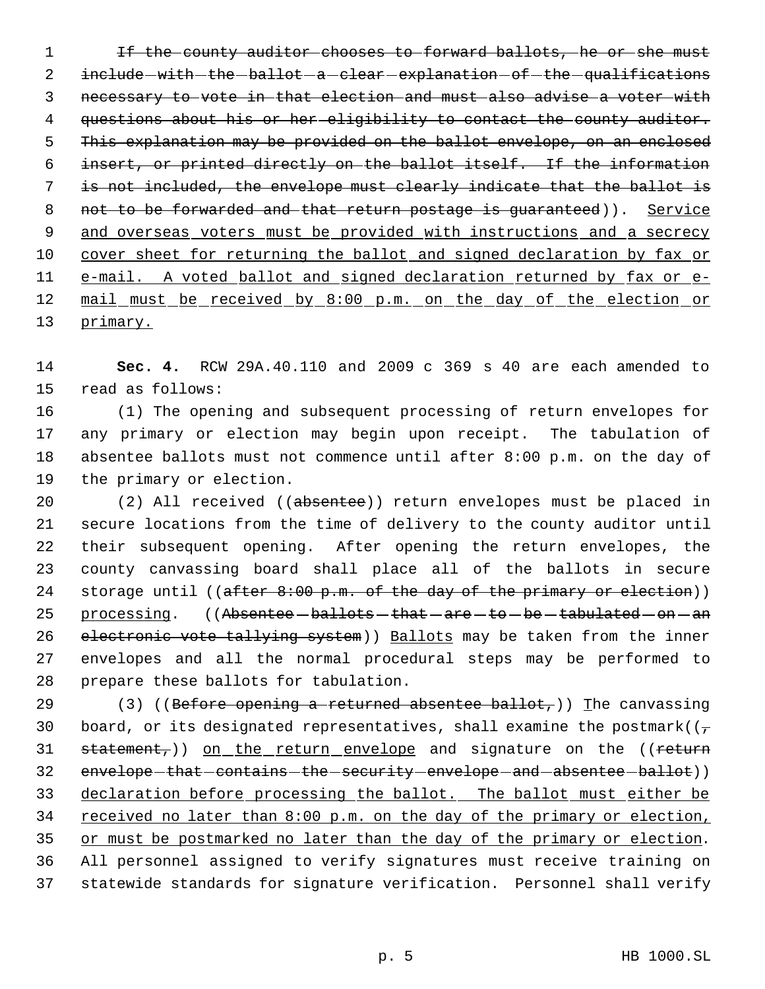1 If the county auditor chooses to forward ballots, he or she must 2 include - with - the - ballot - a - clear - explanation - of - the - qualifications 3 necessary to vote in that election and must also advise a voter with 4 questions about his or her eligibility to contact the county auditor. 5 This explanation may be provided on the ballot envelope, on an enclosed 6 insert, or printed directly on the ballot itself. If the information 7 is not included, the envelope must clearly indicate that the ballot is 8 not to be forwarded and that return postage is guaranteed)). Service 9 and overseas voters must be provided with instructions and a secrecy 10 cover sheet for returning the ballot and signed declaration by fax or 11 e-mail. A voted ballot and signed declaration returned by fax or e-12 mail must be received by 8:00 p.m. on the day of the election or 13 primary.

14 **Sec. 4.** RCW 29A.40.110 and 2009 c 369 s 40 are each amended to 15 read as follows:

 (1) The opening and subsequent processing of return envelopes for any primary or election may begin upon receipt. The tabulation of absentee ballots must not commence until after 8:00 p.m. on the day of the primary or election.

20 (2) All received ((absentee)) return envelopes must be placed in 21 secure locations from the time of delivery to the county auditor until 22 their subsequent opening. After opening the return envelopes, the 23 county canvassing board shall place all of the ballots in secure 24 storage until  $((after 8:00 p.m. of the day of the primary or electron))$ 25 processing. ((Absentee - ballots - that - are - to - be - tabulated - on - an 26 electronic vote tallying system)) Ballots may be taken from the inner 27 envelopes and all the normal procedural steps may be performed to 28 prepare these ballots for tabulation.

29 (3) ((Before opening a returned absentee ballot,)) The canvassing 30 board, or its designated representatives, shall examine the postmark( $(\tau$  $31$  statement,)) on the return envelope and signature on the ((return 32 envelope-that-contains-the-security-envelope-and-absentee-ballot)) 33 declaration before processing the ballot. The ballot must either be 34 received no later than 8:00 p.m. on the day of the primary or election, 35 or must be postmarked no later than the day of the primary or election. 36 All personnel assigned to verify signatures must receive training on 37 statewide standards for signature verification. Personnel shall verify